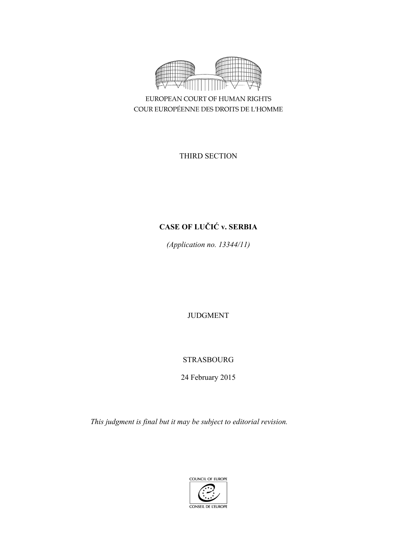

EUROPEAN COURT OF HUMAN RIGHTS COUR EUROPÉENNE DES DROITS DE L'HOMME

THIRD SECTION

# **CASE OF LUČIĆ v. SERBIA**

*(Application no. 13344/11)* 

JUDGMENT

## STRASBOURG

24 February 2015

*This judgment is final but it may be subject to editorial revision.*

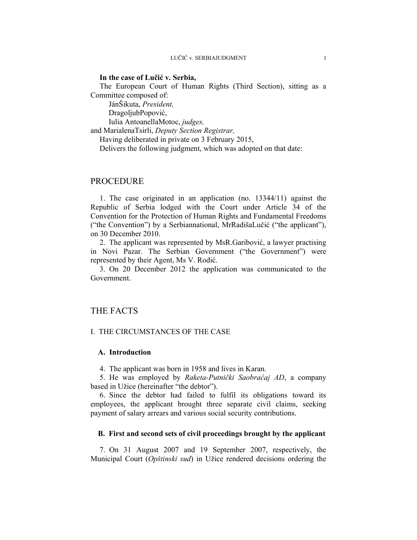#### **In the case of Lučić v. Serbia,**

The European Court of Human Rights (Third Section), sitting as a Committee composed of:

 JánŠikuta, *President,*  DragoljubPopović, Iulia AntoanellaMotoc, *judges,*

and MarialenaTsirli, *Deputy Section Registrar,*

Having deliberated in private on 3 February 2015,

Delivers the following judgment, which was adopted on that date:

### PROCEDURE

1. The case originated in an application (no. 13344/11) against the Republic of Serbia lodged with the Court under Article 34 of the Convention for the Protection of Human Rights and Fundamental Freedoms ("the Convention") by a Serbiannational, MrRadišaLučić ("the applicant"), on 30 December 2010.

2. The applicant was represented by MsR.Garibović, a lawyer practising in Novi Pazar. The Serbian Government ("the Government") were represented by their Agent, Ms V. Rodić.

3. On 20 December 2012 the application was communicated to the Government.

### THE FACTS

#### I. THE CIRCUMSTANCES OF THE CASE

### **A. Introduction**

4. The applicant was born in 1958 and lives in Karan.

5. He was employed by *Raketa-Putnički Saobraćaj AD*, a company based in Užice (hereinafter "the debtor").

6. Since the debtor had failed to fulfil its obligations toward its employees, the applicant brought three separate civil claims, seeking payment of salary arrears and various social security contributions.

#### **B. First and second sets of civil proceedings brought by the applicant**

7. On 31 August 2007 and 19 September 2007, respectively, the Municipal Court (*Opštinski sud*) in Užice rendered decisions ordering the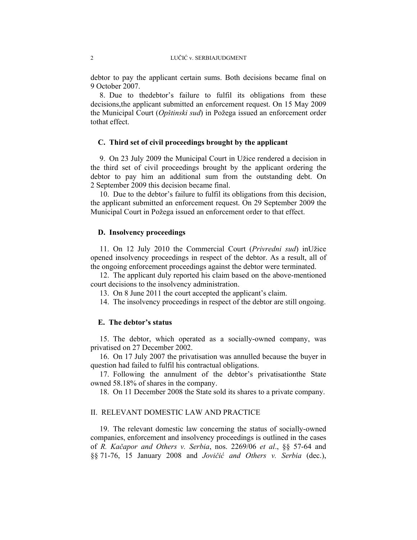debtor to pay the applicant certain sums. Both decisions became final on 9 October 2007.

8. Due to thedebtor's failure to fulfil its obligations from these decisions,the applicant submitted an enforcement request. On 15 May 2009 the Municipal Court (*Opštinski sud*) in Požega issued an enforcement order tothat effect.

#### **C. Third set of civil proceedings brought by the applicant**

9. On 23 July 2009 the Municipal Court in Užice rendered a decision in the third set of civil proceedings brought by the applicant ordering the debtor to pay him an additional sum from the outstanding debt. On 2 September 2009 this decision became final.

10. Due to the debtor's failure to fulfil its obligations from this decision, the applicant submitted an enforcement request. On 29 September 2009 the Municipal Court in Požega issued an enforcement order to that effect.

#### **D. Insolvency proceedings**

11. On 12 July 2010 the Commercial Court (*Privredni sud*) inUžice opened insolvency proceedings in respect of the debtor. As a result, all of the ongoing enforcement proceedings against the debtor were terminated.

12. The applicant duly reported his claim based on the above-mentioned court decisions to the insolvency administration.

13. On 8 June 2011 the court accepted the applicant's claim.

14. The insolvency proceedings in respect of the debtor are still ongoing.

#### **E. The debtor's status**

15. The debtor, which operated as a socially-owned company, was privatised on 27 December 2002.

16. On 17 July 2007 the privatisation was annulled because the buyer in question had failed to fulfil his contractual obligations.

17. Following the annulment of the debtor's privatisationthe State owned 58.18% of shares in the company.

18. On 11 December 2008 the State sold its shares to a private company.

#### II. RELEVANT DOMESTIC LAW AND PRACTICE

19. The relevant domestic law concerning the status of socially-owned companies, enforcement and insolvency proceedings is outlined in the cases of *R. Kačapor and Others v. Serbia*, nos. 2269/06 *et al*., §§ 57-64 and §§ 71-76, 15 January 2008 and *Jovičić and Others v. Serbia* (dec.),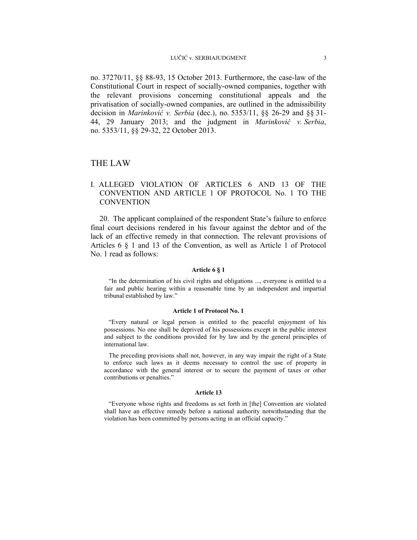no. 37270/11, §§ 88-93, 15 October 2013. Furthermore, the case-law of the Constitutional Court in respect of socially-owned companies, together with the relevant provisions concerning constitutional appeals and the privatisation of socially-owned companies, are outlined in the admissibility decision in *Marinković v. Serbia* (dec.), no. 5353/11, §§ 26-29 and §§ 31- 44, 29 January 2013; and the judgment in *Marinković v. Serbia*, no. 5353/11, §§ 29-32, 22 October 2013.

### THE LAW

### I. ALLEGED VIOLATION OF ARTICLES 6 AND 13 OF THE CONVENTION AND ARTICLE 1 OF PROTOCOL No. 1 TO THE **CONVENTION**

20. The applicant complained of the respondent State's failure to enforce final court decisions rendered in his favour against the debtor and of the lack of an effective remedy in that connection. The relevant provisions of Articles 6 § 1 and 13 of the Convention, as well as Article 1 of Protocol No. 1 read as follows:

#### **Article 6 § 1**

"In the determination of his civil rights and obligations ..., everyone is entitled to a fair and public hearing within a reasonable time by an independent and impartial tribunal established by law."

#### **Article 1 of Protocol No. 1**

"Every natural or legal person is entitled to the peaceful enjoyment of his possessions. No one shall be deprived of his possessions except in the public interest and subject to the conditions provided for by law and by the general principles of international law.

The preceding provisions shall not, however, in any way impair the right of a State to enforce such laws as it deems necessary to control the use of property in accordance with the general interest or to secure the payment of taxes or other contributions or penalties."

#### **Article 13**

"Everyone whose rights and freedoms as set forth in [the] Convention are violated shall have an effective remedy before a national authority notwithstanding that the violation has been committed by persons acting in an official capacity."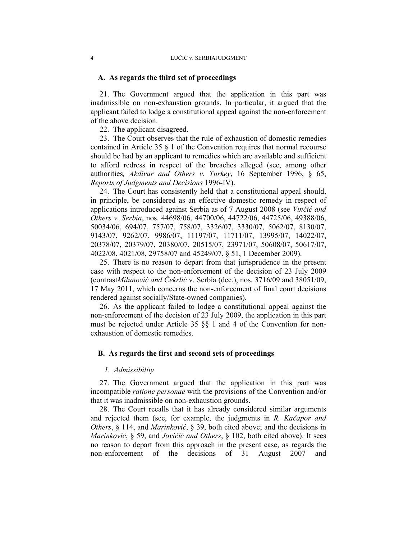#### **A. As regards the third set of proceedings**

21. The Government argued that the application in this part was inadmissible on non-exhaustion grounds. In particular, it argued that the applicant failed to lodge a constitutional appeal against the non-enforcement of the above decision.

22. The applicant disagreed.

23. The Court observes that the rule of exhaustion of domestic remedies contained in Article 35 § 1 of the Convention requires that normal recourse should be had by an applicant to remedies which are available and sufficient to afford redress in respect of the breaches alleged (see, among other authorities*, Akdivar and Others v. Turkey*, 16 September 1996, § 65, *Reports of Judgments and Decisions* 1996-IV).

24. The Court has consistently held that a constitutional appeal should, in principle, be considered as an effective domestic remedy in respect of applications introduced against Serbia as of 7 August 2008 (see *Vinčić and Others v. Serbia*, nos. 44698/06, 44700/06, 44722/06, 44725/06, 49388/06, 50034/06, 694/07, 757/07, 758/07, 3326/07, 3330/07, 5062/07, 8130/07, 9143/07, 9262/07, 9986/07, 11197/07, 11711/07, 13995/07, 14022/07, 20378/07, 20379/07, 20380/07, 20515/07, 23971/07, 50608/07, 50617/07, 4022/08, 4021/08, 29758/07 and 45249/07, § 51, 1 December 2009).

25. There is no reason to depart from that jurisprudence in the present case with respect to the non-enforcement of the decision of 23 July 2009 (contrast*Milunović and Čekrlić* v. Serbia (dec.), nos. 3716/09 and 38051/09, 17 May 2011, which concerns the non-enforcement of final court decisions rendered against socially/State-owned companies).

26. As the applicant failed to lodge a constitutional appeal against the non-enforcement of the decision of 23 July 2009, the application in this part must be rejected under Article 35 §§ 1 and 4 of the Convention for nonexhaustion of domestic remedies.

#### **B. As regards the first and second sets of proceedings**

#### *1. Admissibility*

27. The Government argued that the application in this part was incompatible *ratione personae* with the provisions of the Convention and/or that it was inadmissible on non-exhaustion grounds.

28. The Court recalls that it has already considered similar arguments and rejected them (see, for example, the judgments in *R. Kačapor and Others*, § 114, and *Marinković*, § 39, both cited above; and the decisions in *Marinković*, § 59, and *Jovičić and Others*, § 102, both cited above). It sees no reason to depart from this approach in the present case, as regards the non-enforcement of the decisions of 31 August 2007 and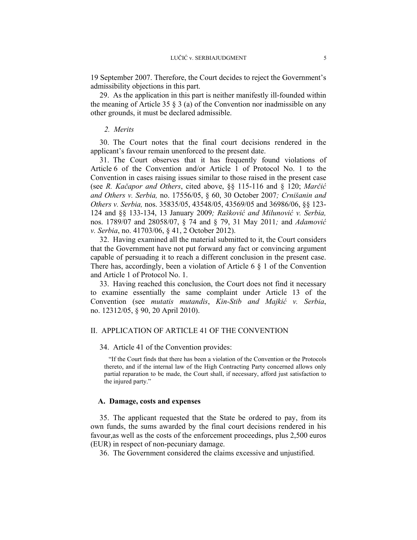19 September 2007. Therefore, the Court decides to reject the Government's admissibility objections in this part.

29. As the application in this part is neither manifestly ill-founded within the meaning of Article 35  $\S$  3 (a) of the Convention nor inadmissible on any other grounds, it must be declared admissible.

#### *2. Merits*

30. The Court notes that the final court decisions rendered in the applicant's favour remain unenforced to the present date.

31. The Court observes that it has frequently found violations of Article 6 of the Convention and/or Article 1 of Protocol No. 1 to the Convention in cases raising issues similar to those raised in the present case (see *R. Kačapor and Others*, cited above, §§ 115-116 and § 120; *Marčić and Others v. Serbia,* no. 17556/05, § 60, 30 October 2007*; Crnišanin and Others v. Serbia,* nos. 35835/05, 43548/05, 43569/05 and 36986/06, §§ 123- 124 and §§ 133-134, 13 January 2009*; Rašković and Milunović v. Serbia,*  nos. 1789/07 and 28058/07, § 74 and § 79, 31 May 2011*;* and *Adamović v. Serbia*, no. 41703/06, § 41, 2 October 2012).

32. Having examined all the material submitted to it, the Court considers that the Government have not put forward any fact or convincing argument capable of persuading it to reach a different conclusion in the present case. There has, accordingly, been a violation of Article 6 § 1 of the Convention and Article 1 of Protocol No. 1.

33. Having reached this conclusion, the Court does not find it necessary to examine essentially the same complaint under Article 13 of the Convention (see *mutatis mutandis*, *Kin-Stib and Majkić v. Serbia*, no. 12312/05, § 90, 20 April 2010).

### II. APPLICATION OF ARTICLE 41 OF THE CONVENTION

34. Article 41 of the Convention provides:

"If the Court finds that there has been a violation of the Convention or the Protocols thereto, and if the internal law of the High Contracting Party concerned allows only partial reparation to be made, the Court shall, if necessary, afford just satisfaction to the injured party."

#### **A. Damage, costs and expenses**

35. The applicant requested that the State be ordered to pay, from its own funds, the sums awarded by the final court decisions rendered in his favour,as well as the costs of the enforcement proceedings, plus 2,500 euros (EUR) in respect of non-pecuniary damage.

36. The Government considered the claims excessive and unjustified.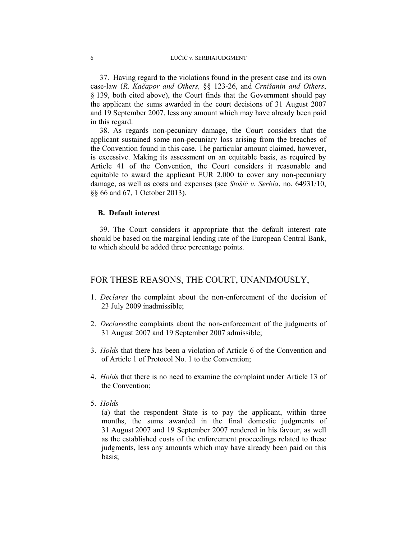37. Having regard to the violations found in the present case and its own case-law (*R. Kačapor and Others,* §§ 123-26, and *Crnišanin and Others*, § 139, both cited above), the Court finds that the Government should pay the applicant the sums awarded in the court decisions of 31 August 2007 and 19 September 2007, less any amount which may have already been paid in this regard.

38. As regards non-pecuniary damage, the Court considers that the applicant sustained some non-pecuniary loss arising from the breaches of the Convention found in this case. The particular amount claimed, however, is excessive. Making its assessment on an equitable basis, as required by Article 41 of the Convention, the Court considers it reasonable and equitable to award the applicant EUR 2,000 to cover any non-pecuniary damage, as well as costs and expenses (see *Stošić v. Serbia*, no. 64931/10, §§ 66 and 67, 1 October 2013).

### **B. Default interest**

39. The Court considers it appropriate that the default interest rate should be based on the marginal lending rate of the European Central Bank, to which should be added three percentage points.

#### FOR THESE REASONS, THE COURT, UNANIMOUSLY,

- 1. *Declares* the complaint about the non-enforcement of the decision of 23 July 2009 inadmissible;
- 2. *Declares*the complaints about the non-enforcement of the judgments of 31 August 2007 and 19 September 2007 admissible;
- 3. *Holds* that there has been a violation of Article 6 of the Convention and of Article 1 of Protocol No. 1 to the Convention;
- 4. *Holds* that there is no need to examine the complaint under Article 13 of the Convention;
- 5. *Holds*

(a) that the respondent State is to pay the applicant, within three months, the sums awarded in the final domestic judgments of 31 August 2007 and 19 September 2007 rendered in his favour, as well as the established costs of the enforcement proceedings related to these judgments, less any amounts which may have already been paid on this basis;